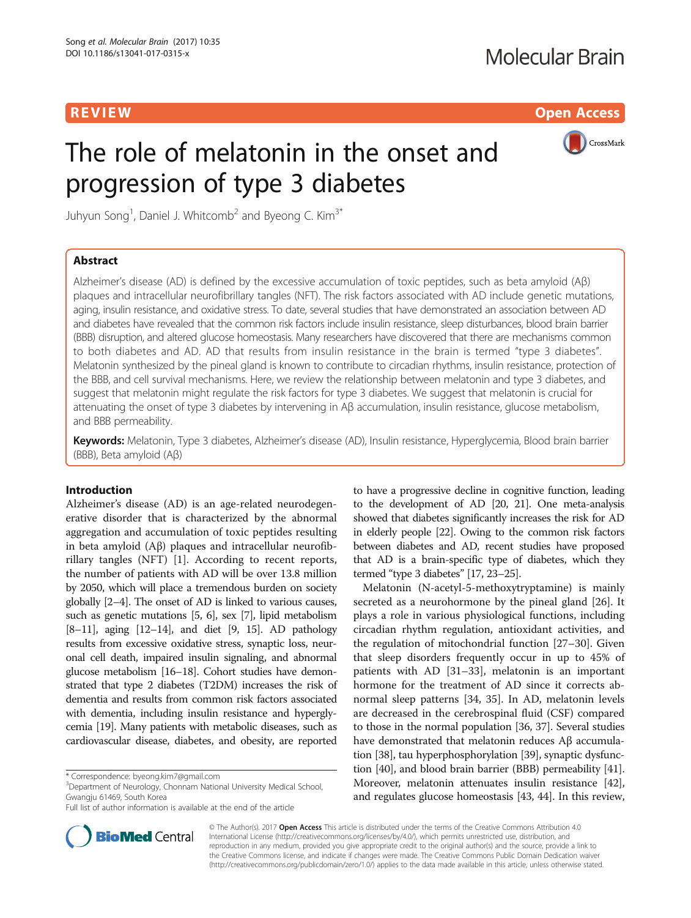**REVIEW CONTROL CONTROL CONTROL** 

CrossMark

# The role of melatonin in the onset and progression of type 3 diabetes

Juhyun Song<sup>1</sup>, Daniel J. Whitcomb<sup>2</sup> and Byeong C. Kim<sup>3\*</sup>

# Abstract

Alzheimer's disease (AD) is defined by the excessive accumulation of toxic peptides, such as beta amyloid (Aβ) plaques and intracellular neurofibrillary tangles (NFT). The risk factors associated with AD include genetic mutations, aging, insulin resistance, and oxidative stress. To date, several studies that have demonstrated an association between AD and diabetes have revealed that the common risk factors include insulin resistance, sleep disturbances, blood brain barrier (BBB) disruption, and altered glucose homeostasis. Many researchers have discovered that there are mechanisms common to both diabetes and AD. AD that results from insulin resistance in the brain is termed "type 3 diabetes". Melatonin synthesized by the pineal gland is known to contribute to circadian rhythms, insulin resistance, protection of the BBB, and cell survival mechanisms. Here, we review the relationship between melatonin and type 3 diabetes, and suggest that melatonin might regulate the risk factors for type 3 diabetes. We suggest that melatonin is crucial for attenuating the onset of type 3 diabetes by intervening in Aβ accumulation, insulin resistance, glucose metabolism, and BBB permeability.

Keywords: Melatonin, Type 3 diabetes, Alzheimer's disease (AD), Insulin resistance, Hyperglycemia, Blood brain barrier (BBB), Beta amyloid (Aβ)

# Introduction

Alzheimer's disease (AD) is an age-related neurodegenerative disorder that is characterized by the abnormal aggregation and accumulation of toxic peptides resulting in beta amyloid (Aβ) plaques and intracellular neurofibrillary tangles (NFT) [[1\]](#page-5-0). According to recent reports, the number of patients with AD will be over 13.8 million by 2050, which will place a tremendous burden on society globally [[2](#page-5-0)–[4\]](#page-5-0). The onset of AD is linked to various causes, such as genetic mutations [[5](#page-5-0), [6\]](#page-5-0), sex [[7](#page-5-0)], lipid metabolism [[8](#page-5-0)–[11\]](#page-5-0), aging [\[12](#page-5-0)–[14\]](#page-5-0), and diet [[9](#page-5-0), [15\]](#page-5-0). AD pathology results from excessive oxidative stress, synaptic loss, neuronal cell death, impaired insulin signaling, and abnormal glucose metabolism [\[16](#page-5-0)–[18\]](#page-5-0). Cohort studies have demonstrated that type 2 diabetes (T2DM) increases the risk of dementia and results from common risk factors associated with dementia, including insulin resistance and hyperglycemia [\[19](#page-5-0)]. Many patients with metabolic diseases, such as cardiovascular disease, diabetes, and obesity, are reported

<sup>3</sup>Department of Neurology, Chonnam National University Medical School, Gwangju 61469, South Korea

to have a progressive decline in cognitive function, leading to the development of AD [[20](#page-5-0), [21](#page-5-0)]. One meta-analysis showed that diabetes significantly increases the risk for AD in elderly people [[22](#page-5-0)]. Owing to the common risk factors between diabetes and AD, recent studies have proposed that AD is a brain-specific type of diabetes, which they termed "type 3 diabetes" [[17](#page-5-0), [23](#page-5-0)–[25](#page-5-0)].

Melatonin (N-acetyl-5-methoxytryptamine) is mainly secreted as a neurohormone by the pineal gland [\[26](#page-5-0)]. It plays a role in various physiological functions, including circadian rhythm regulation, antioxidant activities, and the regulation of mitochondrial function [[27](#page-5-0)–[30\]](#page-5-0). Given that sleep disorders frequently occur in up to 45% of patients with AD [\[31](#page-5-0)–[33\]](#page-5-0), melatonin is an important hormone for the treatment of AD since it corrects abnormal sleep patterns [[34, 35\]](#page-5-0). In AD, melatonin levels are decreased in the cerebrospinal fluid (CSF) compared to those in the normal population [\[36, 37](#page-6-0)]. Several studies have demonstrated that melatonin reduces Aβ accumulation [\[38\]](#page-6-0), tau hyperphosphorylation [\[39\]](#page-6-0), synaptic dysfunction [[40](#page-6-0)], and blood brain barrier (BBB) permeability [[41](#page-6-0)]. Moreover, melatonin attenuates insulin resistance [[42](#page-6-0)], and regulates glucose homeostasis [[43](#page-6-0), [44](#page-6-0)]. In this review,



© The Author(s). 2017 **Open Access** This article is distributed under the terms of the Creative Commons Attribution 4.0 International License [\(http://creativecommons.org/licenses/by/4.0/](http://creativecommons.org/licenses/by/4.0/)), which permits unrestricted use, distribution, and reproduction in any medium, provided you give appropriate credit to the original author(s) and the source, provide a link to the Creative Commons license, and indicate if changes were made. The Creative Commons Public Domain Dedication waiver [\(http://creativecommons.org/publicdomain/zero/1.0/](http://creativecommons.org/publicdomain/zero/1.0/)) applies to the data made available in this article, unless otherwise stated.

<sup>\*</sup> Correspondence: [byeong.kim7@gmail.com](mailto:byeong.kim7@gmail.com) <sup>3</sup>

Full list of author information is available at the end of the article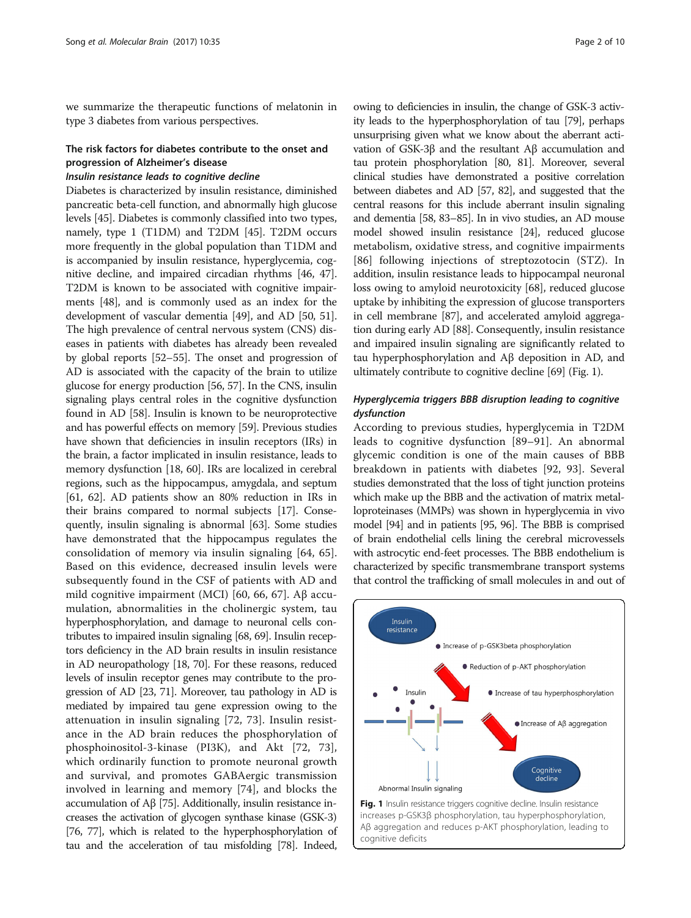we summarize the therapeutic functions of melatonin in type 3 diabetes from various perspectives.

# The risk factors for diabetes contribute to the onset and progression of Alzheimer's disease

### Insulin resistance leads to cognitive decline

Diabetes is characterized by insulin resistance, diminished pancreatic beta-cell function, and abnormally high glucose levels [\[45\]](#page-6-0). Diabetes is commonly classified into two types, namely, type 1 (T1DM) and T2DM [[45](#page-6-0)]. T2DM occurs more frequently in the global population than T1DM and is accompanied by insulin resistance, hyperglycemia, cognitive decline, and impaired circadian rhythms [\[46](#page-6-0), [47](#page-6-0)]. T2DM is known to be associated with cognitive impairments [[48\]](#page-6-0), and is commonly used as an index for the development of vascular dementia [\[49\]](#page-6-0), and AD [\[50](#page-6-0), [51](#page-6-0)]. The high prevalence of central nervous system (CNS) diseases in patients with diabetes has already been revealed by global reports [[52](#page-6-0)–[55\]](#page-6-0). The onset and progression of AD is associated with the capacity of the brain to utilize glucose for energy production [[56](#page-6-0), [57\]](#page-6-0). In the CNS, insulin signaling plays central roles in the cognitive dysfunction found in AD [[58](#page-6-0)]. Insulin is known to be neuroprotective and has powerful effects on memory [[59](#page-6-0)]. Previous studies have shown that deficiencies in insulin receptors (IRs) in the brain, a factor implicated in insulin resistance, leads to memory dysfunction [\[18,](#page-5-0) [60](#page-6-0)]. IRs are localized in cerebral regions, such as the hippocampus, amygdala, and septum [[61](#page-6-0), [62\]](#page-6-0). AD patients show an 80% reduction in IRs in their brains compared to normal subjects [\[17\]](#page-5-0). Consequently, insulin signaling is abnormal [[63\]](#page-6-0). Some studies have demonstrated that the hippocampus regulates the consolidation of memory via insulin signaling [[64](#page-6-0), [65](#page-6-0)]. Based on this evidence, decreased insulin levels were subsequently found in the CSF of patients with AD and mild cognitive impairment (MCI) [\[60](#page-6-0), [66, 67](#page-6-0)]. Aβ accumulation, abnormalities in the cholinergic system, tau hyperphosphorylation, and damage to neuronal cells contributes to impaired insulin signaling [\[68, 69\]](#page-6-0). Insulin receptors deficiency in the AD brain results in insulin resistance in AD neuropathology [\[18](#page-5-0), [70](#page-6-0)]. For these reasons, reduced levels of insulin receptor genes may contribute to the progression of AD [\[23,](#page-5-0) [71](#page-6-0)]. Moreover, tau pathology in AD is mediated by impaired tau gene expression owing to the attenuation in insulin signaling [[72, 73\]](#page-6-0). Insulin resistance in the AD brain reduces the phosphorylation of phosphoinositol-3-kinase (PI3K), and Akt [\[72](#page-6-0), [73](#page-6-0)], which ordinarily function to promote neuronal growth and survival, and promotes GABAergic transmission involved in learning and memory [[74\]](#page-6-0), and blocks the accumulation of Aβ [\[75](#page-6-0)]. Additionally, insulin resistance increases the activation of glycogen synthase kinase (GSK-3) [[76](#page-6-0), [77\]](#page-6-0), which is related to the hyperphosphorylation of tau and the acceleration of tau misfolding [\[78\]](#page-6-0). Indeed,

owing to deficiencies in insulin, the change of GSK-3 activity leads to the hyperphosphorylation of tau [\[79\]](#page-6-0), perhaps unsurprising given what we know about the aberrant activation of GSK-3β and the resultant Aβ accumulation and tau protein phosphorylation [\[80, 81\]](#page-6-0). Moreover, several clinical studies have demonstrated a positive correlation between diabetes and AD [\[57, 82](#page-6-0)], and suggested that the central reasons for this include aberrant insulin signaling and dementia [\[58, 83](#page-6-0)–[85](#page-6-0)]. In in vivo studies, an AD mouse model showed insulin resistance [\[24\]](#page-5-0), reduced glucose metabolism, oxidative stress, and cognitive impairments [[86\]](#page-6-0) following injections of streptozotocin (STZ). In addition, insulin resistance leads to hippocampal neuronal loss owing to amyloid neurotoxicity [[68](#page-6-0)], reduced glucose uptake by inhibiting the expression of glucose transporters in cell membrane [[87](#page-7-0)], and accelerated amyloid aggregation during early AD [\[88\]](#page-7-0). Consequently, insulin resistance and impaired insulin signaling are significantly related to tau hyperphosphorylation and Aβ deposition in AD, and ultimately contribute to cognitive decline [[69](#page-6-0)] (Fig. 1).

# Hyperglycemia triggers BBB disruption leading to cognitive dysfunction

According to previous studies, hyperglycemia in T2DM leads to cognitive dysfunction [[89](#page-7-0)–[91\]](#page-7-0). An abnormal glycemic condition is one of the main causes of BBB breakdown in patients with diabetes [\[92](#page-7-0), [93\]](#page-7-0). Several studies demonstrated that the loss of tight junction proteins which make up the BBB and the activation of matrix metalloproteinases (MMPs) was shown in hyperglycemia in vivo model [[94\]](#page-7-0) and in patients [\[95](#page-7-0), [96\]](#page-7-0). The BBB is comprised of brain endothelial cells lining the cerebral microvessels with astrocytic end-feet processes. The BBB endothelium is characterized by specific transmembrane transport systems that control the trafficking of small molecules in and out of

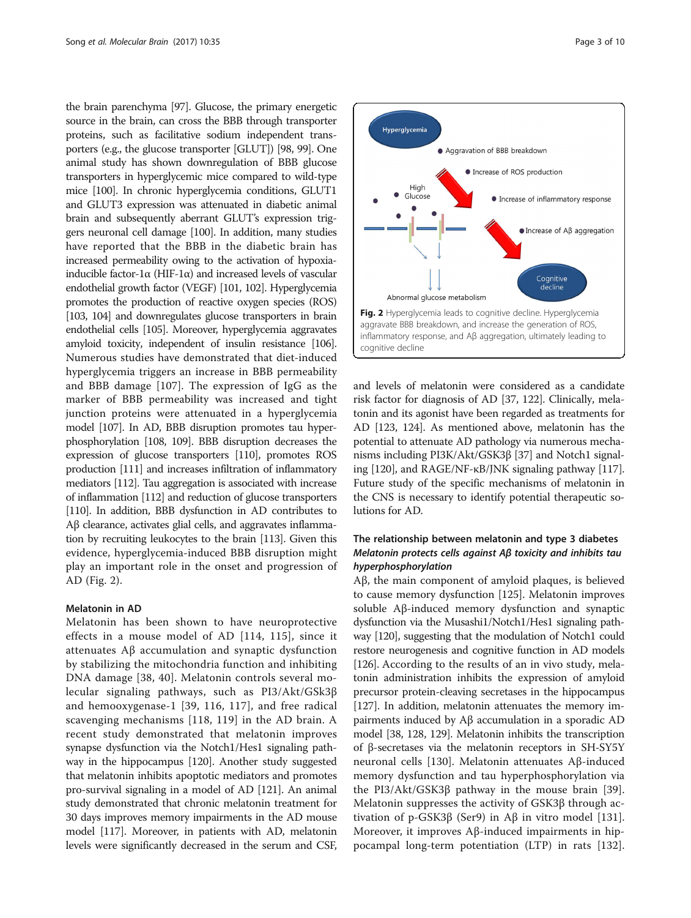the brain parenchyma [\[97\]](#page-7-0). Glucose, the primary energetic source in the brain, can cross the BBB through transporter proteins, such as facilitative sodium independent transporters (e.g., the glucose transporter [GLUT]) [\[98](#page-7-0), [99\]](#page-7-0). One animal study has shown downregulation of BBB glucose transporters in hyperglycemic mice compared to wild-type mice [[100\]](#page-7-0). In chronic hyperglycemia conditions, GLUT1 and GLUT3 expression was attenuated in diabetic animal brain and subsequently aberrant GLUT's expression triggers neuronal cell damage [\[100](#page-7-0)]. In addition, many studies have reported that the BBB in the diabetic brain has increased permeability owing to the activation of hypoxiainducible factor-1α (HIF-1α) and increased levels of vascular endothelial growth factor (VEGF) [\[101](#page-7-0), [102](#page-7-0)]. Hyperglycemia promotes the production of reactive oxygen species (ROS) [[103, 104](#page-7-0)] and downregulates glucose transporters in brain endothelial cells [\[105\]](#page-7-0). Moreover, hyperglycemia aggravates amyloid toxicity, independent of insulin resistance [[106](#page-7-0)]. Numerous studies have demonstrated that diet-induced hyperglycemia triggers an increase in BBB permeability and BBB damage [[107](#page-7-0)]. The expression of IgG as the marker of BBB permeability was increased and tight junction proteins were attenuated in a hyperglycemia model [\[107](#page-7-0)]. In AD, BBB disruption promotes tau hyperphosphorylation [\[108, 109\]](#page-7-0). BBB disruption decreases the expression of glucose transporters [[110\]](#page-7-0), promotes ROS production [\[111](#page-7-0)] and increases infiltration of inflammatory mediators [\[112](#page-7-0)]. Tau aggregation is associated with increase of inflammation [\[112](#page-7-0)] and reduction of glucose transporters [[110\]](#page-7-0). In addition, BBB dysfunction in AD contributes to Aβ clearance, activates glial cells, and aggravates inflammation by recruiting leukocytes to the brain [\[113](#page-7-0)]. Given this evidence, hyperglycemia-induced BBB disruption might play an important role in the onset and progression of AD (Fig. 2).

#### Melatonin in AD

Melatonin has been shown to have neuroprotective effects in a mouse model of AD [\[114, 115](#page-7-0)], since it attenuates Aβ accumulation and synaptic dysfunction by stabilizing the mitochondria function and inhibiting DNA damage [[38](#page-6-0), [40\]](#page-6-0). Melatonin controls several molecular signaling pathways, such as PI3/Akt/GSk3β and hemooxygenase-1 [\[39,](#page-6-0) [116](#page-7-0), [117\]](#page-7-0), and free radical scavenging mechanisms [[118, 119\]](#page-7-0) in the AD brain. A recent study demonstrated that melatonin improves synapse dysfunction via the Notch1/Hes1 signaling pathway in the hippocampus [\[120\]](#page-7-0). Another study suggested that melatonin inhibits apoptotic mediators and promotes pro-survival signaling in a model of AD [\[121\]](#page-7-0). An animal study demonstrated that chronic melatonin treatment for 30 days improves memory impairments in the AD mouse model [\[117\]](#page-7-0). Moreover, in patients with AD, melatonin levels were significantly decreased in the serum and CSF,



and levels of melatonin were considered as a candidate risk factor for diagnosis of AD [\[37](#page-6-0), [122\]](#page-7-0). Clinically, melatonin and its agonist have been regarded as treatments for AD [\[123, 124\]](#page-7-0). As mentioned above, melatonin has the potential to attenuate AD pathology via numerous mechanisms including PI3K/Akt/GSK3β [[37](#page-6-0)] and Notch1 signaling [\[120](#page-7-0)], and RAGE/NF-κB/JNK signaling pathway [[117](#page-7-0)]. Future study of the specific mechanisms of melatonin in the CNS is necessary to identify potential therapeutic solutions for AD.

# The relationship between melatonin and type 3 diabetes Melatonin protects cells against Aβ toxicity and inhibits tau hyperphosphorylation

Aβ, the main component of amyloid plaques, is believed to cause memory dysfunction [[125](#page-7-0)]. Melatonin improves soluble Aβ-induced memory dysfunction and synaptic dysfunction via the Musashi1/Notch1/Hes1 signaling pathway [[120](#page-7-0)], suggesting that the modulation of Notch1 could restore neurogenesis and cognitive function in AD models [[126\]](#page-7-0). According to the results of an in vivo study, melatonin administration inhibits the expression of amyloid precursor protein-cleaving secretases in the hippocampus [[127](#page-7-0)]. In addition, melatonin attenuates the memory impairments induced by Aβ accumulation in a sporadic AD model [\[38,](#page-6-0) [128](#page-7-0), [129](#page-7-0)]. Melatonin inhibits the transcription of β-secretases via the melatonin receptors in SH-SY5Y neuronal cells [\[130](#page-7-0)]. Melatonin attenuates Aβ-induced memory dysfunction and tau hyperphosphorylation via the PI3/Akt/GSK3β pathway in the mouse brain [\[39](#page-6-0)]. Melatonin suppresses the activity of GSK3β through ac-tivation of p-GSK3β (Ser9) in Aβ in vitro model [\[131](#page-7-0)]. Moreover, it improves Aβ-induced impairments in hippocampal long-term potentiation (LTP) in rats [\[132](#page-7-0)].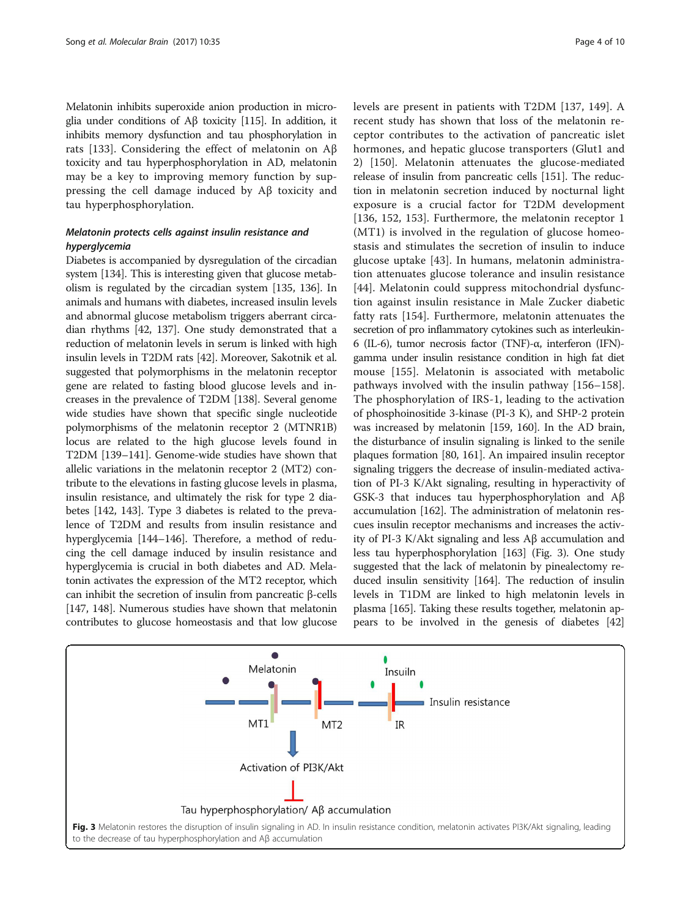Melatonin inhibits superoxide anion production in microglia under conditions of Aβ toxicity [[115\]](#page-7-0). In addition, it inhibits memory dysfunction and tau phosphorylation in rats [[133\]](#page-8-0). Considering the effect of melatonin on Aβ toxicity and tau hyperphosphorylation in AD, melatonin may be a key to improving memory function by suppressing the cell damage induced by Aβ toxicity and tau hyperphosphorylation.

# Melatonin protects cells against insulin resistance and hyperglycemia

Diabetes is accompanied by dysregulation of the circadian system [[134](#page-8-0)]. This is interesting given that glucose metabolism is regulated by the circadian system [[135](#page-8-0), [136\]](#page-8-0). In animals and humans with diabetes, increased insulin levels and abnormal glucose metabolism triggers aberrant circadian rhythms [\[42,](#page-6-0) [137\]](#page-8-0). One study demonstrated that a reduction of melatonin levels in serum is linked with high insulin levels in T2DM rats [[42](#page-6-0)]. Moreover, Sakotnik et al. suggested that polymorphisms in the melatonin receptor gene are related to fasting blood glucose levels and increases in the prevalence of T2DM [[138](#page-8-0)]. Several genome wide studies have shown that specific single nucleotide polymorphisms of the melatonin receptor 2 (MTNR1B) locus are related to the high glucose levels found in T2DM [\[139](#page-8-0)–[141](#page-8-0)]. Genome-wide studies have shown that allelic variations in the melatonin receptor 2 (MT2) contribute to the elevations in fasting glucose levels in plasma, insulin resistance, and ultimately the risk for type 2 diabetes [\[142](#page-8-0), [143\]](#page-8-0). Type 3 diabetes is related to the prevalence of T2DM and results from insulin resistance and hyperglycemia [[144](#page-8-0)–[146](#page-8-0)]. Therefore, a method of reducing the cell damage induced by insulin resistance and hyperglycemia is crucial in both diabetes and AD. Melatonin activates the expression of the MT2 receptor, which can inhibit the secretion of insulin from pancreatic β-cells [[147](#page-8-0), [148](#page-8-0)]. Numerous studies have shown that melatonin contributes to glucose homeostasis and that low glucose levels are present in patients with T2DM [[137, 149](#page-8-0)]. A recent study has shown that loss of the melatonin receptor contributes to the activation of pancreatic islet hormones, and hepatic glucose transporters (Glut1 and 2) [\[150](#page-8-0)]. Melatonin attenuates the glucose-mediated release of insulin from pancreatic cells [[151](#page-8-0)]. The reduction in melatonin secretion induced by nocturnal light exposure is a crucial factor for T2DM development [[136, 152, 153\]](#page-8-0). Furthermore, the melatonin receptor 1 (MT1) is involved in the regulation of glucose homeostasis and stimulates the secretion of insulin to induce glucose uptake [\[43](#page-6-0)]. In humans, melatonin administration attenuates glucose tolerance and insulin resistance [[44](#page-6-0)]. Melatonin could suppress mitochondrial dysfunction against insulin resistance in Male Zucker diabetic fatty rats [[154\]](#page-8-0). Furthermore, melatonin attenuates the secretion of pro inflammatory cytokines such as interleukin-6 (IL-6), tumor necrosis factor (TNF)-α, interferon (IFN) gamma under insulin resistance condition in high fat diet mouse [[155\]](#page-8-0). Melatonin is associated with metabolic pathways involved with the insulin pathway [\[156](#page-8-0)–[158](#page-8-0)]. The phosphorylation of IRS-1, leading to the activation of phosphoinositide 3-kinase (PI-3 K), and SHP-2 protein was increased by melatonin [\[159, 160](#page-8-0)]. In the AD brain, the disturbance of insulin signaling is linked to the senile plaques formation [[80,](#page-6-0) [161](#page-8-0)]. An impaired insulin receptor signaling triggers the decrease of insulin-mediated activation of PI-3 K/Akt signaling, resulting in hyperactivity of GSK-3 that induces tau hyperphosphorylation and Aβ accumulation [\[162\]](#page-8-0). The administration of melatonin rescues insulin receptor mechanisms and increases the activity of PI-3 K/Akt signaling and less Aβ accumulation and less tau hyperphosphorylation [\[163\]](#page-8-0) (Fig. 3). One study suggested that the lack of melatonin by pinealectomy reduced insulin sensitivity [[164](#page-8-0)]. The reduction of insulin levels in T1DM are linked to high melatonin levels in plasma [\[165](#page-8-0)]. Taking these results together, melatonin appears to be involved in the genesis of diabetes [[42](#page-6-0)]

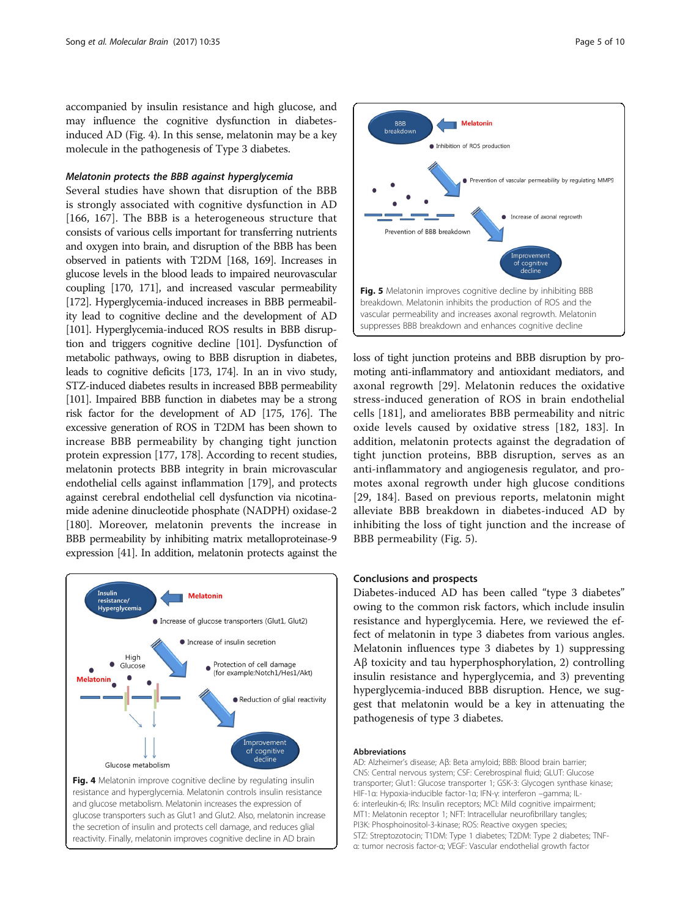accompanied by insulin resistance and high glucose, and may influence the cognitive dysfunction in diabetesinduced AD (Fig. 4). In this sense, melatonin may be a key molecule in the pathogenesis of Type 3 diabetes.

#### Melatonin protects the BBB against hyperglycemia

Several studies have shown that disruption of the BBB is strongly associated with cognitive dysfunction in AD [[166, 167](#page-8-0)]. The BBB is a heterogeneous structure that consists of various cells important for transferring nutrients and oxygen into brain, and disruption of the BBB has been observed in patients with T2DM [\[168, 169](#page-8-0)]. Increases in glucose levels in the blood leads to impaired neurovascular coupling [[170, 171\]](#page-8-0), and increased vascular permeability [[172\]](#page-8-0). Hyperglycemia-induced increases in BBB permeability lead to cognitive decline and the development of AD [[101\]](#page-7-0). Hyperglycemia-induced ROS results in BBB disruption and triggers cognitive decline [\[101](#page-7-0)]. Dysfunction of metabolic pathways, owing to BBB disruption in diabetes, leads to cognitive deficits [\[173](#page-8-0), [174\]](#page-8-0). In an in vivo study, STZ-induced diabetes results in increased BBB permeability [[101\]](#page-7-0). Impaired BBB function in diabetes may be a strong risk factor for the development of AD [[175](#page-8-0), [176\]](#page-8-0). The excessive generation of ROS in T2DM has been shown to increase BBB permeability by changing tight junction protein expression [\[177, 178](#page-8-0)]. According to recent studies, melatonin protects BBB integrity in brain microvascular endothelial cells against inflammation [[179](#page-8-0)], and protects against cerebral endothelial cell dysfunction via nicotinamide adenine dinucleotide phosphate (NADPH) oxidase-2 [[180](#page-9-0)]. Moreover, melatonin prevents the increase in BBB permeability by inhibiting matrix metalloproteinase-9 expression [\[41](#page-6-0)]. In addition, melatonin protects against the



Fig. 4 Melatonin improve cognitive decline by regulating insulin resistance and hyperglycemia. Melatonin controls insulin resistance and glucose metabolism. Melatonin increases the expression of glucose transporters such as Glut1 and Glut2. Also, melatonin increase the secretion of insulin and protects cell damage, and reduces glial reactivity. Finally, melatonin improves cognitive decline in AD brain



loss of tight junction proteins and BBB disruption by promoting anti-inflammatory and antioxidant mediators, and axonal regrowth [\[29](#page-5-0)]. Melatonin reduces the oxidative stress-induced generation of ROS in brain endothelial cells [\[181](#page-9-0)], and ameliorates BBB permeability and nitric oxide levels caused by oxidative stress [[182, 183](#page-9-0)]. In addition, melatonin protects against the degradation of tight junction proteins, BBB disruption, serves as an anti-inflammatory and angiogenesis regulator, and promotes axonal regrowth under high glucose conditions [[29,](#page-5-0) [184](#page-9-0)]. Based on previous reports, melatonin might alleviate BBB breakdown in diabetes-induced AD by inhibiting the loss of tight junction and the increase of BBB permeability (Fig. 5).

### Conclusions and prospects

Diabetes-induced AD has been called "type 3 diabetes" owing to the common risk factors, which include insulin resistance and hyperglycemia. Here, we reviewed the effect of melatonin in type 3 diabetes from various angles. Melatonin influences type 3 diabetes by 1) suppressing Aβ toxicity and tau hyperphosphorylation, 2) controlling insulin resistance and hyperglycemia, and 3) preventing hyperglycemia-induced BBB disruption. Hence, we suggest that melatonin would be a key in attenuating the pathogenesis of type 3 diabetes.

#### Abbreviations

AD: Alzheimer's disease; Aβ: Beta amyloid; BBB: Blood brain barrier; CNS: Central nervous system; CSF: Cerebrospinal fluid; GLUT: Glucose transporter; Glut1: Glucose transporter 1; GSK-3: Glycogen synthase kinase; HIF-1α: Hypoxia-inducible factor-1α; IFN-γ: interferon –gamma; IL-6: interleukin-6; IRs: Insulin receptors; MCI: Mild cognitive impairment; MT1: Melatonin receptor 1; NFT: Intracellular neurofibrillary tangles; PI3K: Phosphoinositol-3-kinase; ROS: Reactive oxygen species; STZ: Streptozotocin; T1DM: Type 1 diabetes; T2DM: Type 2 diabetes; TNFα: tumor necrosis factor-α; VEGF: Vascular endothelial growth factor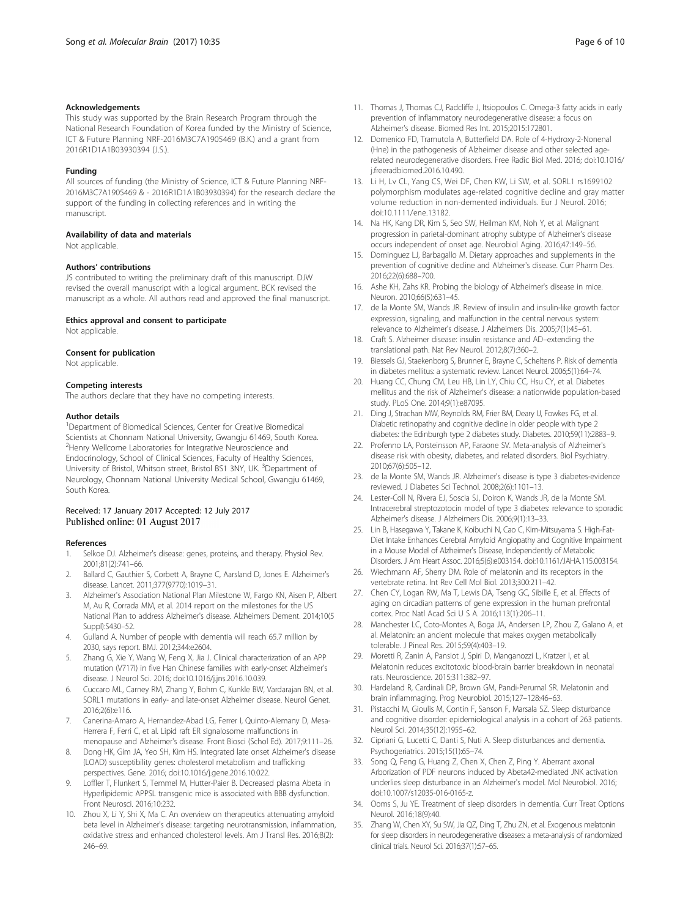#### <span id="page-5-0"></span>Acknowledgements

This study was supported by the Brain Research Program through the National Research Foundation of Korea funded by the Ministry of Science, ICT & Future Planning NRF-2016M3C7A1905469 (B.K.) and a grant from 2016R1D1A1B03930394 (J.S.).

#### Funding

All sources of funding (the Ministry of Science, ICT & Future Planning NRF-2016M3C7A1905469 & - 2016R1D1A1B03930394) for the research declare the support of the funding in collecting references and in writing the manuscript.

#### Availability of data and materials

Not applicable.

#### Authors' contributions

JS contributed to writing the preliminary draft of this manuscript. DJW revised the overall manuscript with a logical argument. BCK revised the manuscript as a whole. All authors read and approved the final manuscript.

#### Ethics approval and consent to participate

Not applicable.

#### Consent for publication

Not applicable.

#### Competing interests

The authors declare that they have no competing interests.

#### Author details

<sup>1</sup>Department of Biomedical Sciences, Center for Creative Biomedical Scientists at Chonnam National University, Gwangju 61469, South Korea. <sup>2</sup>Henry Wellcome Laboratories for Integrative Neuroscience and Endocrinology, School of Clinical Sciences, Faculty of Healthy Sciences, University of Bristol, Whitson street, Bristol BS1 3NY, UK. <sup>3</sup>Department of Neurology, Chonnam National University Medical School, Gwangju 61469, South Korea.

#### Received: 17 January 2017 Accepted: 12 July 2017 Published online: 01 August 2017

#### References

- 1. Selkoe DJ. Alzheimer's disease: genes, proteins, and therapy. Physiol Rev. 2001;81(2):741–66.
- 2. Ballard C, Gauthier S, Corbett A, Brayne C, Aarsland D, Jones E. Alzheimer's disease. Lancet. 2011;377(9770):1019–31.
- 3. Alzheimer's Association National Plan Milestone W, Fargo KN, Aisen P, Albert M, Au R, Corrada MM, et al. 2014 report on the milestones for the US National Plan to address Alzheimer's disease. Alzheimers Dement. 2014;10(5 Suppl):S430–52.
- 4. Gulland A. Number of people with dementia will reach 65.7 million by 2030, says report. BMJ. 2012;344:e2604.
- 5. Zhang G, Xie Y, Wang W, Feng X, Jia J. Clinical characterization of an APP mutation (V717I) in five Han Chinese families with early-onset Alzheimer's disease. J Neurol Sci. 2016; doi:[10.1016/j.jns.2016.10.039.](http://dx.doi.org/10.1016/j.jns.2016.10.039)
- 6. Cuccaro ML, Carney RM, Zhang Y, Bohm C, Kunkle BW, Vardarajan BN, et al. SORL1 mutations in early- and late-onset Alzheimer disease. Neurol Genet. 2016;2(6):e116.
- 7. Canerina-Amaro A, Hernandez-Abad LG, Ferrer I, Quinto-Alemany D, Mesa-Herrera F, Ferri C, et al. Lipid raft ER signalosome malfunctions in menopause and Alzheimer's disease. Front Biosci (Schol Ed). 2017;9:111–26.
- 8. Dong HK, Gim JA, Yeo SH, Kim HS. Integrated late onset Alzheimer's disease (LOAD) susceptibility genes: cholesterol metabolism and trafficking perspectives. Gene. 2016; doi:[10.1016/j.gene.2016.10.022](http://dx.doi.org/10.1016/j.gene.2016.10.022).
- Loffler T, Flunkert S, Temmel M, Hutter-Paier B. Decreased plasma Abeta in Hyperlipidemic APPSL transgenic mice is associated with BBB dysfunction. Front Neurosci. 2016;10:232.
- 10. Zhou X, Li Y, Shi X, Ma C. An overview on therapeutics attenuating amyloid beta level in Alzheimer's disease: targeting neurotransmission, inflammation, oxidative stress and enhanced cholesterol levels. Am J Transl Res. 2016;8(2): 246–69.
- 11. Thomas J, Thomas CJ, Radcliffe J, Itsiopoulos C. Omega-3 fatty acids in early prevention of inflammatory neurodegenerative disease: a focus on Alzheimer's disease. Biomed Res Int. 2015;2015:172801.
- 12. Domenico FD, Tramutola A, Butterfield DA. Role of 4-Hydroxy-2-Nonenal (Hne) in the pathogenesis of Alzheimer disease and other selected agerelated neurodegenerative disorders. Free Radic Biol Med. 2016; doi[:10.1016/](http://dx.doi.org/10.1016/j.freeradbiomed.2016.10.490) i.freeradbiomed.2016.10.490.
- 13. Li H, Lv CL, Yang CS, Wei DF, Chen KW, Li SW, et al. SORL1 rs1699102 polymorphism modulates age-related cognitive decline and gray matter volume reduction in non-demented individuals. Eur J Neurol. 2016; doi:[10.1111/ene.13182.](http://dx.doi.org/10.1111/ene.13182)
- 14. Na HK, Kang DR, Kim S, Seo SW, Heilman KM, Noh Y, et al. Malignant progression in parietal-dominant atrophy subtype of Alzheimer's disease occurs independent of onset age. Neurobiol Aging. 2016;47:149–56.
- 15. Dominguez LJ, Barbagallo M. Dietary approaches and supplements in the prevention of cognitive decline and Alzheimer's disease. Curr Pharm Des. 2016;22(6):688–700.
- 16. Ashe KH, Zahs KR. Probing the biology of Alzheimer's disease in mice. Neuron. 2010;66(5):631–45.
- 17. de la Monte SM, Wands JR. Review of insulin and insulin-like growth factor expression, signaling, and malfunction in the central nervous system: relevance to Alzheimer's disease. J Alzheimers Dis. 2005;7(1):45–61.
- 18. Craft S. Alzheimer disease: insulin resistance and AD–extending the translational path. Nat Rev Neurol. 2012;8(7):360–2.
- 19. Biessels GJ, Staekenborg S, Brunner E, Brayne C, Scheltens P. Risk of dementia in diabetes mellitus: a systematic review. Lancet Neurol. 2006;5(1):64–74.
- 20. Huang CC, Chung CM, Leu HB, Lin LY, Chiu CC, Hsu CY, et al. Diabetes mellitus and the risk of Alzheimer's disease: a nationwide population-based study. PLoS One. 2014;9(1):e87095.
- 21. Ding J, Strachan MW, Reynolds RM, Frier BM, Deary IJ, Fowkes FG, et al. Diabetic retinopathy and cognitive decline in older people with type 2 diabetes: the Edinburgh type 2 diabetes study. Diabetes. 2010;59(11):2883–9.
- 22. Profenno LA, Porsteinsson AP, Faraone SV. Meta-analysis of Alzheimer's disease risk with obesity, diabetes, and related disorders. Biol Psychiatry. 2010;67(6):505–12.
- 23. de la Monte SM, Wands JR. Alzheimer's disease is type 3 diabetes-evidence reviewed. J Diabetes Sci Technol. 2008;2(6):1101–13.
- 24. Lester-Coll N, Rivera EJ, Soscia SJ, Doiron K, Wands JR, de la Monte SM. Intracerebral streptozotocin model of type 3 diabetes: relevance to sporadic Alzheimer's disease. J Alzheimers Dis. 2006;9(1):13–33.
- 25. Lin B, Hasegawa Y, Takane K, Koibuchi N, Cao C, Kim-Mitsuyama S. High-Fat-Diet Intake Enhances Cerebral Amyloid Angiopathy and Cognitive Impairment in a Mouse Model of Alzheimer's Disease, Independently of Metabolic Disorders. J Am Heart Assoc. 2016;5(6):e003154. doi:[10.1161/JAHA.115.003154](http://dx.doi.org/10.1161/JAHA.115.003154).
- 26. Wiechmann AF, Sherry DM. Role of melatonin and its receptors in the vertebrate retina. Int Rev Cell Mol Biol. 2013;300:211–42.
- 27. Chen CY, Logan RW, Ma T, Lewis DA, Tseng GC, Sibille E, et al. Effects of aging on circadian patterns of gene expression in the human prefrontal cortex. Proc Natl Acad Sci U S A. 2016;113(1):206–11.
- 28. Manchester LC, Coto-Montes A, Boga JA, Andersen LP, Zhou Z, Galano A, et al. Melatonin: an ancient molecule that makes oxygen metabolically tolerable. J Pineal Res. 2015;59(4):403–19.
- 29. Moretti R, Zanin A, Pansiot J, Spiri D, Manganozzi L, Kratzer I, et al. Melatonin reduces excitotoxic blood-brain barrier breakdown in neonatal rats. Neuroscience. 2015;311:382–97.
- 30. Hardeland R, Cardinali DP, Brown GM, Pandi-Perumal SR. Melatonin and brain inflammaging. Prog Neurobiol. 2015;127–128:46–63.
- 31. Pistacchi M, Gioulis M, Contin F, Sanson F, Marsala SZ. Sleep disturbance and cognitive disorder: epidemiological analysis in a cohort of 263 patients. Neurol Sci. 2014;35(12):1955–62.
- 32. Cipriani G, Lucetti C, Danti S, Nuti A. Sleep disturbances and dementia. Psychogeriatrics. 2015;15(1):65–74.
- 33. Song Q, Feng G, Huang Z, Chen X, Chen Z, Ping Y. Aberrant axonal Arborization of PDF neurons induced by Abeta42-mediated JNK activation underlies sleep disturbance in an Alzheimer's model. Mol Neurobiol. 2016; doi[:10.1007/s12035-016-0165-z.](http://dx.doi.org/10.1007/s12035-016-0165-z)
- 34. Ooms S, Ju YE. Treatment of sleep disorders in dementia. Curr Treat Options Neurol. 2016;18(9):40.
- 35. Zhang W, Chen XY, Su SW, Jia QZ, Ding T, Zhu ZN, et al. Exogenous melatonin for sleep disorders in neurodegenerative diseases: a meta-analysis of randomized clinical trials. Neurol Sci. 2016;37(1):57–65.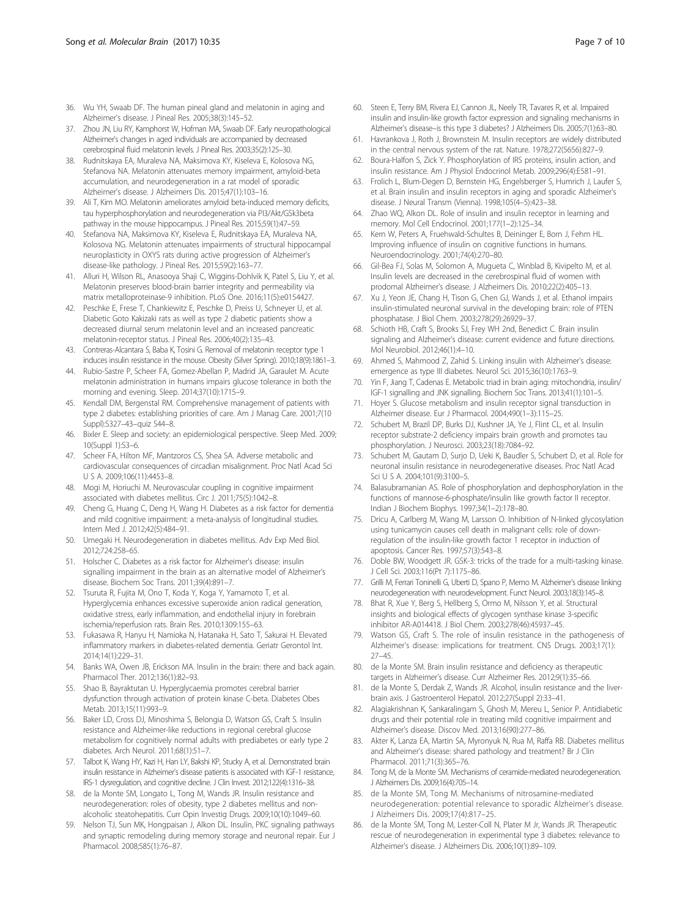- <span id="page-6-0"></span>36. Wu YH, Swaab DF. The human pineal gland and melatonin in aging and Alzheimer's disease. J Pineal Res. 2005;38(3):145–52.
- 37. Zhou JN, Liu RY, Kamphorst W, Hofman MA, Swaab DF. Early neuropathological Alzheimer's changes in aged individuals are accompanied by decreased cerebrospinal fluid melatonin levels. J Pineal Res. 2003;35(2):125–30.
- 38. Rudnitskaya EA, Muraleva NA, Maksimova KY, Kiseleva E, Kolosova NG, Stefanova NA. Melatonin attenuates memory impairment, amyloid-beta accumulation, and neurodegeneration in a rat model of sporadic Alzheimer's disease. J Alzheimers Dis. 2015;47(1):103–16.
- 39. Ali T, Kim MO. Melatonin ameliorates amyloid beta-induced memory deficits, tau hyperphosphorylation and neurodegeneration via PI3/Akt/GSk3beta pathway in the mouse hippocampus. J Pineal Res. 2015;59(1):47–59.
- 40. Stefanova NA, Maksimova KY, Kiseleva E, Rudnitskaya EA, Muraleva NA, Kolosova NG. Melatonin attenuates impairments of structural hippocampal neuroplasticity in OXYS rats during active progression of Alzheimer's disease-like pathology. J Pineal Res. 2015;59(2):163–77.
- 41. Alluri H, Wilson RL, Anasooya Shaji C, Wiggins-Dohlvik K, Patel S, Liu Y, et al. Melatonin preserves blood-brain barrier integrity and permeability via matrix metalloproteinase-9 inhibition. PLoS One. 2016;11(5):e0154427.
- 42. Peschke E, Frese T, Chankiewitz E, Peschke D, Preiss U, Schneyer U, et al. Diabetic Goto Kakizaki rats as well as type 2 diabetic patients show a decreased diurnal serum melatonin level and an increased pancreatic melatonin-receptor status. J Pineal Res. 2006;40(2):135–43.
- 43. Contreras-Alcantara S, Baba K, Tosini G. Removal of melatonin receptor type 1 induces insulin resistance in the mouse. Obesity (Silver Spring). 2010;18(9):1861–3.
- 44. Rubio-Sastre P, Scheer FA, Gomez-Abellan P, Madrid JA, Garaulet M. Acute melatonin administration in humans impairs glucose tolerance in both the morning and evening. Sleep. 2014;37(10):1715–9.
- 45. Kendall DM, Bergenstal RM. Comprehensive management of patients with type 2 diabetes: establishing priorities of care. Am J Manag Care. 2001;7(10 Suppl):S327–43–quiz S44–8.
- 46. Bixler E. Sleep and society: an epidemiological perspective. Sleep Med. 2009; 10(Suppl 1):S3–6.
- 47. Scheer FA, Hilton MF, Mantzoros CS, Shea SA. Adverse metabolic and cardiovascular consequences of circadian misalignment. Proc Natl Acad Sci U S A. 2009;106(11):4453–8.
- 48. Mogi M, Horiuchi M. Neurovascular coupling in cognitive impairment associated with diabetes mellitus. Circ J. 2011;75(5):1042–8.
- 49. Cheng G, Huang C, Deng H, Wang H. Diabetes as a risk factor for dementia and mild cognitive impairment: a meta-analysis of longitudinal studies. Intern Med J. 2012;42(5):484–91.
- 50. Umegaki H. Neurodegeneration in diabetes mellitus. Adv Exp Med Biol. 2012;724:258–65.
- 51. Holscher C. Diabetes as a risk factor for Alzheimer's disease: insulin signalling impairment in the brain as an alternative model of Alzheimer's disease. Biochem Soc Trans. 2011;39(4):891–7.
- 52. Tsuruta R, Fujita M, Ono T, Koda Y, Koga Y, Yamamoto T, et al. Hyperglycemia enhances excessive superoxide anion radical generation, oxidative stress, early inflammation, and endothelial injury in forebrain ischemia/reperfusion rats. Brain Res. 2010;1309:155–63.
- 53. Fukasawa R, Hanyu H, Namioka N, Hatanaka H, Sato T, Sakurai H. Elevated inflammatory markers in diabetes-related dementia. Geriatr Gerontol Int. 2014;14(1):229–31.
- Banks WA, Owen JB, Erickson MA. Insulin in the brain: there and back again. Pharmacol Ther. 2012;136(1):82–93.
- 55. Shao B, Bayraktutan U. Hyperglycaemia promotes cerebral barrier dysfunction through activation of protein kinase C-beta. Diabetes Obes Metab. 2013;15(11):993–9.
- 56. Baker LD, Cross DJ, Minoshima S, Belongia D, Watson GS, Craft S. Insulin resistance and Alzheimer-like reductions in regional cerebral glucose metabolism for cognitively normal adults with prediabetes or early type 2 diabetes. Arch Neurol. 2011;68(1):51–7.
- 57. Talbot K, Wang HY, Kazi H, Han LY, Bakshi KP, Stucky A, et al. Demonstrated brain insulin resistance in Alzheimer's disease patients is associated with IGF-1 resistance, IRS-1 dysregulation, and cognitive decline. J Clin Invest. 2012;122(4):1316–38.
- 58. de la Monte SM, Longato L, Tong M, Wands JR. Insulin resistance and neurodegeneration: roles of obesity, type 2 diabetes mellitus and nonalcoholic steatohepatitis. Curr Opin Investig Drugs. 2009;10(10):1049–60.
- 59. Nelson TJ, Sun MK, Hongpaisan J, Alkon DL. Insulin, PKC signaling pathways and synaptic remodeling during memory storage and neuronal repair. Eur J Pharmacol. 2008;585(1):76–87.
- 60. Steen E, Terry BM, Rivera EJ, Cannon JL, Neely TR, Tavares R, et al. Impaired insulin and insulin-like growth factor expression and signaling mechanisms in Alzheimer's disease–is this type 3 diabetes? J Alzheimers Dis. 2005;7(1):63–80.
- 61. Havrankova J, Roth J, Brownstein M. Insulin receptors are widely distributed in the central nervous system of the rat. Nature. 1978;272(5656):827–9.
- 62. Boura-Halfon S, Zick Y. Phosphorylation of IRS proteins, insulin action, and insulin resistance. Am J Physiol Endocrinol Metab. 2009;296(4):E581–91.
- 63. Frolich L, Blum-Degen D, Bernstein HG, Engelsberger S, Humrich J, Laufer S, et al. Brain insulin and insulin receptors in aging and sporadic Alzheimer's disease. J Neural Transm (Vienna). 1998;105(4–5):423–38.
- 64. Zhao WQ, Alkon DL. Role of insulin and insulin receptor in learning and memory. Mol Cell Endocrinol. 2001;177(1–2):125–34.
- 65. Kern W, Peters A, Fruehwald-Schultes B, Deininger E, Born J, Fehm HL. Improving influence of insulin on cognitive functions in humans. Neuroendocrinology. 2001;74(4):270–80.
- 66. Gil-Bea FJ, Solas M, Solomon A, Mugueta C, Winblad B, Kivipelto M, et al. Insulin levels are decreased in the cerebrospinal fluid of women with prodomal Alzheimer's disease. J Alzheimers Dis. 2010;22(2):405–13.
- 67. Xu J, Yeon JE, Chang H, Tison G, Chen GJ, Wands J, et al. Ethanol impairs insulin-stimulated neuronal survival in the developing brain: role of PTEN phosphatase. J Biol Chem. 2003;278(29):26929–37.
- 68. Schioth HB, Craft S, Brooks SJ, Frey WH 2nd, Benedict C. Brain insulin signaling and Alzheimer's disease: current evidence and future directions. Mol Neurobiol. 2012;46(1):4–10.
- 69. Ahmed S, Mahmood Z, Zahid S. Linking insulin with Alzheimer's disease: emergence as type III diabetes. Neurol Sci. 2015;36(10):1763–9.
- 70. Yin F, Jiang T, Cadenas E. Metabolic triad in brain aging: mitochondria, insulin/ IGF-1 signalling and JNK signalling. Biochem Soc Trans. 2013;41(1):101–5.
- 71. Hoyer S. Glucose metabolism and insulin receptor signal transduction in Alzheimer disease. Eur J Pharmacol. 2004;490(1–3):115–25.
- 72. Schubert M, Brazil DP, Burks DJ, Kushner JA, Ye J, Flint CL, et al. Insulin receptor substrate-2 deficiency impairs brain growth and promotes tau phosphorylation. J Neurosci. 2003;23(18):7084–92.
- 73. Schubert M, Gautam D, Surjo D, Ueki K, Baudler S, Schubert D, et al. Role for neuronal insulin resistance in neurodegenerative diseases. Proc Natl Acad Sci U S A. 2004;101(9):3100–5.
- 74. Balasubramanian AS. Role of phosphorylation and dephosphorylation in the functions of mannose-6-phosphate/insulin like growth factor II receptor. Indian J Biochem Biophys. 1997;34(1–2):178–80.
- 75. Dricu A, Carlberg M, Wang M, Larsson O. Inhibition of N-linked glycosylation using tunicamycin causes cell death in malignant cells: role of downregulation of the insulin-like growth factor 1 receptor in induction of apoptosis. Cancer Res. 1997;57(3):543–8.
- 76. Doble BW, Woodgett JR. GSK-3: tricks of the trade for a multi-tasking kinase. J Cell Sci. 2003;116(Pt 7):1175–86.
- 77. Grilli M, Ferrari Toninelli G, Uberti D, Spano P, Memo M. Alzheimer's disease linking neurodegeneration with neurodevelopment. Funct Neurol. 2003;18(3):145–8.
- 78. Bhat R, Xue Y, Berg S, Hellberg S, Ormo M, Nilsson Y, et al. Structural insights and biological effects of glycogen synthase kinase 3-specific inhibitor AR-A014418. J Biol Chem. 2003;278(46):45937–45.
- 79. Watson GS, Craft S. The role of insulin resistance in the pathogenesis of Alzheimer's disease: implications for treatment. CNS Drugs. 2003;17(1): 27–45.
- 80. de la Monte SM. Brain insulin resistance and deficiency as therapeutic targets in Alzheimer's disease. Curr Alzheimer Res. 2012;9(1):35–66.
- 81. de la Monte S, Derdak Z, Wands JR. Alcohol, insulin resistance and the liverbrain axis. J Gastroenterol Hepatol. 2012;27(Suppl 2):33–41.
- 82. Alagiakrishnan K, Sankaralingam S, Ghosh M, Mereu L, Senior P. Antidiabetic drugs and their potential role in treating mild cognitive impairment and Alzheimer's disease. Discov Med. 2013;16(90):277–86.
- 83. Akter K, Lanza EA, Martin SA, Myronyuk N, Rua M, Raffa RB. Diabetes mellitus and Alzheimer's disease: shared pathology and treatment? Br J Clin Pharmacol. 2011;71(3):365–76.
- 84. Tong M, de la Monte SM. Mechanisms of ceramide-mediated neurodegeneration. J Alzheimers Dis. 2009;16(4):705–14.
- 85. de la Monte SM, Tong M. Mechanisms of nitrosamine-mediated neurodegeneration: potential relevance to sporadic Alzheimer's disease. J Alzheimers Dis. 2009;17(4):817–25.
- 86. de la Monte SM, Tong M, Lester-Coll N, Plater M Jr, Wands JR. Therapeutic rescue of neurodegeneration in experimental type 3 diabetes: relevance to Alzheimer's disease. J Alzheimers Dis. 2006;10(1):89–109.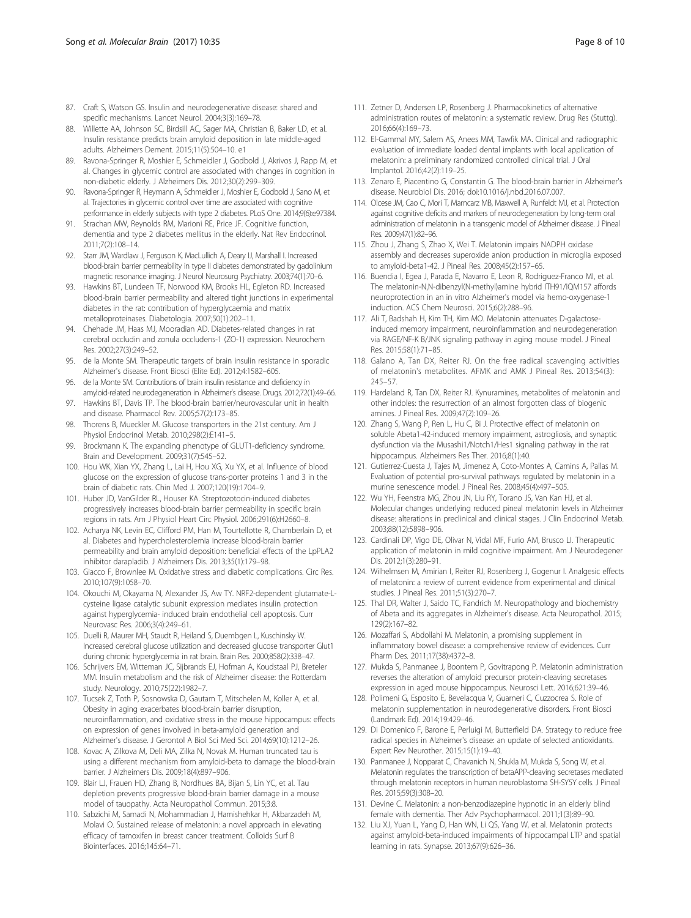- <span id="page-7-0"></span>87. Craft S, Watson GS. Insulin and neurodegenerative disease: shared and specific mechanisms. Lancet Neurol. 2004;3(3):169–78.
- 88. Willette AA, Johnson SC, Birdsill AC, Sager MA, Christian B, Baker LD, et al. Insulin resistance predicts brain amyloid deposition in late middle-aged adults. Alzheimers Dement. 2015;11(5):504–10. e1
- 89. Ravona-Springer R, Moshier E, Schmeidler J, Godbold J, Akrivos J, Rapp M, et al. Changes in glycemic control are associated with changes in cognition in non-diabetic elderly. J Alzheimers Dis. 2012;30(2):299–309.
- 90. Ravona-Springer R, Heymann A, Schmeidler J, Moshier E, Godbold J, Sano M, et al. Trajectories in glycemic control over time are associated with cognitive performance in elderly subjects with type 2 diabetes. PLoS One. 2014;9(6):e97384.
- 91. Strachan MW, Reynolds RM, Marioni RE, Price JF. Cognitive function, dementia and type 2 diabetes mellitus in the elderly. Nat Rev Endocrinol. 2011;7(2):108–14.
- 92. Starr JM, Wardlaw J, Ferguson K, MacLullich A, Deary IJ, Marshall I. Increased blood-brain barrier permeability in type II diabetes demonstrated by gadolinium magnetic resonance imaging. J Neurol Neurosurg Psychiatry. 2003;74(1):70–6.
- 93. Hawkins BT, Lundeen TF, Norwood KM, Brooks HL, Egleton RD. Increased blood-brain barrier permeability and altered tight junctions in experimental diabetes in the rat: contribution of hyperglycaemia and matrix metalloproteinases. Diabetologia. 2007;50(1):202–11.
- 94. Chehade JM, Haas MJ, Mooradian AD. Diabetes-related changes in rat cerebral occludin and zonula occludens-1 (ZO-1) expression. Neurochem Res. 2002;27(3):249–52.
- de la Monte SM. Therapeutic targets of brain insulin resistance in sporadic Alzheimer's disease. Front Biosci (Elite Ed). 2012;4:1582–605.
- 96. de la Monte SM. Contributions of brain insulin resistance and deficiency in amyloid-related neurodegeneration in Alzheimer's disease. Drugs. 2012;72(1):49–66.
- 97. Hawkins BT, Davis TP. The blood-brain barrier/neurovascular unit in health and disease. Pharmacol Rev. 2005;57(2):173–85.
- 98. Thorens B, Mueckler M. Glucose transporters in the 21st century. Am J Physiol Endocrinol Metab. 2010;298(2):E141–5.
- Brockmann K. The expanding phenotype of GLUT1-deficiency syndrome. Brain and Development. 2009;31(7):545–52.
- 100. Hou WK, Xian YX, Zhang L, Lai H, Hou XG, Xu YX, et al. Influence of blood glucose on the expression of glucose trans-porter proteins 1 and 3 in the brain of diabetic rats. Chin Med J. 2007;120(19):1704–9.
- 101. Huber JD, VanGilder RL, Houser KA. Streptozotocin-induced diabetes progressively increases blood-brain barrier permeability in specific brain regions in rats. Am J Physiol Heart Circ Physiol. 2006;291(6):H2660–8.
- 102. Acharya NK, Levin EC, Clifford PM, Han M, Tourtellotte R, Chamberlain D, et al. Diabetes and hypercholesterolemia increase blood-brain barrier permeability and brain amyloid deposition: beneficial effects of the LpPLA2 inhibitor darapladib. J Alzheimers Dis. 2013;35(1):179–98.
- 103. Giacco F, Brownlee M. Oxidative stress and diabetic complications. Circ Res. 2010;107(9):1058–70.
- 104. Okouchi M, Okayama N, Alexander JS, Aw TY. NRF2-dependent glutamate-Lcysteine ligase catalytic subunit expression mediates insulin protection against hyperglycemia- induced brain endothelial cell apoptosis. Curr Neurovasc Res. 2006;3(4):249–61.
- 105. Duelli R, Maurer MH, Staudt R, Heiland S, Duembgen L, Kuschinsky W. Increased cerebral glucose utilization and decreased glucose transporter Glut1 during chronic hyperglycemia in rat brain. Brain Res. 2000;858(2):338–47.
- 106. Schrijvers EM, Witteman JC, Sijbrands EJ, Hofman A, Koudstaal PJ, Breteler MM. Insulin metabolism and the risk of Alzheimer disease: the Rotterdam study. Neurology. 2010;75(22):1982–7.
- 107. Tucsek Z, Toth P, Sosnowska D, Gautam T, Mitschelen M, Koller A, et al. Obesity in aging exacerbates blood-brain barrier disruption, neuroinflammation, and oxidative stress in the mouse hippocampus: effects on expression of genes involved in beta-amyloid generation and Alzheimer's disease. J Gerontol A Biol Sci Med Sci. 2014;69(10):1212–26.
- 108. Kovac A, Zilkova M, Deli MA, Zilka N, Novak M. Human truncated tau is using a different mechanism from amyloid-beta to damage the blood-brain barrier. J Alzheimers Dis. 2009;18(4):897–906.
- 109. Blair LJ, Frauen HD, Zhang B, Nordhues BA, Bijan S, Lin YC, et al. Tau depletion prevents progressive blood-brain barrier damage in a mouse model of tauopathy. Acta Neuropathol Commun. 2015;3:8.
- 110. Sabzichi M, Samadi N, Mohammadian J, Hamishehkar H, Akbarzadeh M, Molavi O. Sustained release of melatonin: a novel approach in elevating efficacy of tamoxifen in breast cancer treatment. Colloids Surf B Biointerfaces. 2016;145:64–71.
- 111. Zetner D, Andersen LP, Rosenberg J. Pharmacokinetics of alternative administration routes of melatonin: a systematic review. Drug Res (Stuttg). 2016;66(4):169–73.
- 112. El-Gammal MY, Salem AS, Anees MM, Tawfik MA. Clinical and radiographic evaluation of immediate loaded dental implants with local application of melatonin: a preliminary randomized controlled clinical trial. J Oral Implantol. 2016;42(2):119–25.
- 113. Zenaro E, Piacentino G, Constantin G. The blood-brain barrier in Alzheimer's disease. Neurobiol Dis. 2016; doi[:10.1016/j.nbd.2016.07.007.](http://dx.doi.org/10.1016/j.nbd.2016.07.007)
- 114. Olcese JM, Cao C, Mori T, Mamcarz MB, Maxwell A, Runfeldt MJ, et al. Protection against cognitive deficits and markers of neurodegeneration by long-term oral administration of melatonin in a transgenic model of Alzheimer disease. J Pineal Res. 2009;47(1):82–96.
- 115. Zhou J, Zhang S, Zhao X, Wei T. Melatonin impairs NADPH oxidase assembly and decreases superoxide anion production in microglia exposed to amyloid-beta1-42. J Pineal Res. 2008;45(2):157–65.
- 116. Buendia I, Egea J, Parada E, Navarro E, Leon R, Rodriguez-Franco MI, et al. The melatonin-N,N-dibenzyl(N-methyl)amine hybrid ITH91/IQM157 affords neuroprotection in an in vitro Alzheimer's model via hemo-oxygenase-1 induction. ACS Chem Neurosci. 2015;6(2):288–96.
- 117. Ali T, Badshah H, Kim TH, Kim MO. Melatonin attenuates D-galactoseinduced memory impairment, neuroinflammation and neurodegeneration via RAGE/NF-K B/JNK signaling pathway in aging mouse model. J Pineal Res. 2015;58(1):71–85.
- 118. Galano A, Tan DX, Reiter RJ. On the free radical scavenging activities of melatonin's metabolites. AFMK and AMK J Pineal Res. 2013;54(3): 245–57.
- 119. Hardeland R, Tan DX, Reiter RJ. Kynuramines, metabolites of melatonin and other indoles: the resurrection of an almost forgotten class of biogenic amines. J Pineal Res. 2009;47(2):109–26.
- 120. Zhang S, Wang P, Ren L, Hu C, Bi J. Protective effect of melatonin on soluble Abeta1-42-induced memory impairment, astrogliosis, and synaptic dysfunction via the Musashi1/Notch1/Hes1 signaling pathway in the rat hippocampus. Alzheimers Res Ther. 2016;8(1):40.
- 121. Gutierrez-Cuesta J, Tajes M, Jimenez A, Coto-Montes A, Camins A, Pallas M. Evaluation of potential pro-survival pathways regulated by melatonin in a murine senescence model. J Pineal Res. 2008;45(4):497–505.
- 122. Wu YH, Feenstra MG, Zhou JN, Liu RY, Torano JS, Van Kan HJ, et al. Molecular changes underlying reduced pineal melatonin levels in Alzheimer disease: alterations in preclinical and clinical stages. J Clin Endocrinol Metab. 2003;88(12):5898–906.
- 123. Cardinali DP, Vigo DE, Olivar N, Vidal MF, Furio AM, Brusco LI. Therapeutic application of melatonin in mild cognitive impairment. Am J Neurodegener Dis. 2012;1(3):280–91.
- 124. Wilhelmsen M, Amirian I, Reiter RJ, Rosenberg J, Gogenur I. Analgesic effects of melatonin: a review of current evidence from experimental and clinical studies. J Pineal Res. 2011;51(3):270–7.
- 125. Thal DR, Walter J, Saido TC, Fandrich M. Neuropathology and biochemistry of Abeta and its aggregates in Alzheimer's disease. Acta Neuropathol. 2015; 129(2):167–82.
- 126. Mozaffari S, Abdollahi M. Melatonin, a promising supplement in inflammatory bowel disease: a comprehensive review of evidences. Curr Pharm Des. 2011;17(38):4372–8.
- 127. Mukda S, Panmanee J, Boontem P, Govitrapong P. Melatonin administration reverses the alteration of amyloid precursor protein-cleaving secretases expression in aged mouse hippocampus. Neurosci Lett. 2016;621:39–46.
- 128. Polimeni G, Esposito E, Bevelacqua V, Guarneri C, Cuzzocrea S. Role of melatonin supplementation in neurodegenerative disorders. Front Biosci (Landmark Ed). 2014;19:429–46.
- 129. Di Domenico F, Barone E, Perluigi M, Butterfield DA. Strategy to reduce free radical species in Alzheimer's disease: an update of selected antioxidants. Expert Rev Neurother. 2015;15(1):19–40.
- 130. Panmanee J, Nopparat C, Chavanich N, Shukla M, Mukda S, Song W, et al. Melatonin regulates the transcription of betaAPP-cleaving secretases mediated through melatonin receptors in human neuroblastoma SH-SY5Y cells. J Pineal Res. 2015;59(3):308–20.
- 131. Devine C. Melatonin: a non-benzodiazepine hypnotic in an elderly blind female with dementia. Ther Adv Psychopharmacol. 2011;1(3):89–90.
- 132. Liu XJ, Yuan L, Yang D, Han WN, Li QS, Yang W, et al. Melatonin protects against amyloid-beta-induced impairments of hippocampal LTP and spatial learning in rats. Synapse. 2013;67(9):626–36.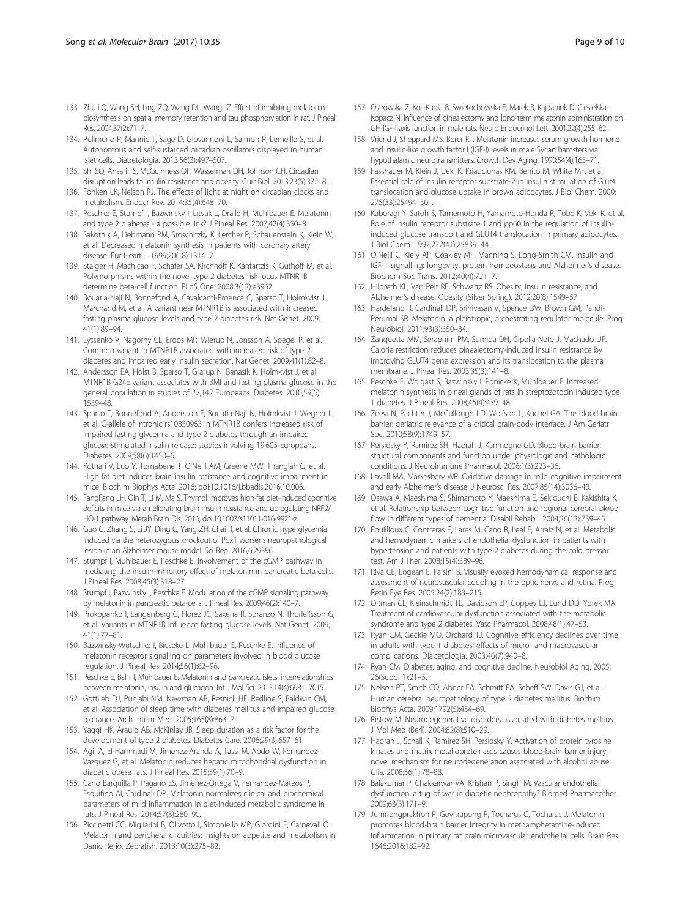- <span id="page-8-0"></span>133. Zhu LQ, Wang SH, Ling ZQ, Wang DL, Wang JZ. Effect of inhibiting melatonin biosynthesis on spatial memory retention and tau phosphorylation in rat. J Pineal Res. 2004;37(2):71–7.
- 134. Pulimeno P, Mannic T, Sage D, Giovannoni L, Salmon P, Lemeille S, et al. Autonomous and self-sustained circadian oscillators displayed in human islet cells. Diabetologia. 2013;56(3):497–507.
- 135. Shi SQ, Ansari TS, McGuinness OP, Wasserman DH, Johnson CH. Circadian disruption leads to insulin resistance and obesity. Curr Biol. 2013;23(5):372–81.
- 136. Fonken LK, Nelson RJ. The effects of light at night on circadian clocks and metabolism. Endocr Rev. 2014;35(4):648–70.
- 137. Peschke E, Stumpf I, Bazwinsky I, Litvak L, Dralle H, Muhlbauer E. Melatonin and type 2 diabetes - a possible link? J Pineal Res. 2007;42(4):350–8.
- 138. Sakotnik A, Liebmann PM, Stoschitzky K, Lercher P, Schauenstein K, Klein W, et al. Decreased melatonin synthesis in patients with coronary artery disease. Eur Heart J. 1999;20(18):1314–7.
- 139. Staiger H, Machicao F, Schafer SA, Kirchhoff K, Kantartzis K, Guthoff M, et al. Polymorphisms within the novel type 2 diabetes risk locus MTNR1B determine beta-cell function. PLoS One. 2008;3(12):e3962.
- 140. Bouatia-Naji N, Bonnefond A, Cavalcanti-Proenca C, Sparso T, Holmkvist J, Marchand M, et al. A variant near MTNR1B is associated with increased fasting plasma glucose levels and type 2 diabetes risk. Nat Genet. 2009; 41(1):89–94.
- 141. Lyssenko V, Nagorny CL, Erdos MR, Wierup N, Jonsson A, Spegel P, et al. Common variant in MTNR1B associated with increased risk of type 2 diabetes and impaired early insulin secretion. Nat Genet. 2009;41(1):82–8.
- 142. Andersson EA, Holst B, Sparso T, Grarup N, Banasik K, Holmkvist J, et al. MTNR1B G24E variant associates with BMI and fasting plasma glucose in the general population in studies of 22,142 Europeans. Diabetes. 2010;59(6): 1539–48.
- 143. Sparso T, Bonnefond A, Andersson E, Bouatia-Naji N, Holmkvist J, Wegner L, et al. G-allele of intronic rs10830963 in MTNR1B confers increased risk of impaired fasting glycemia and type 2 diabetes through an impaired glucose-stimulated insulin release: studies involving 19,605 Europeans. Diabetes. 2009;58(6):1450–6.
- 144. Kothari V, Luo Y, Tornabene T, O'Neill AM, Greene MW, Thangiah G, et al. High fat diet induces brain insulin resistance and cognitive impairment in mice. Biochim Biophys Acta. 2016; doi[:10.1016/j.bbadis.2016.10.006](http://dx.doi.org/10.1016/j.bbadis.2016.10.006).
- 145. FangFang LH, Qin T, Li M, Ma S. Thymol improves high-fat diet-induced cognitive deficits in mice via ameliorating brain insulin resistance and upregulating NRF2/ HO-1 pathway. Metab Brain Dis. 2016; doi[:10.1007/s11011-016-9921-z](http://dx.doi.org/10.1007/s11011-016-9921-z).
- 146. Guo C, Zhang S, Li JY, Ding C, Yang ZH, Chai R, et al. Chronic hyperglycemia induced via the heterozygous knockout of Pdx1 worsens neuropathological lesion in an Alzheimer mouse model. Sci Rep. 2016;6:29396.
- 147. Stumpf I, Muhlbauer E, Peschke E. Involvement of the cGMP pathway in mediating the insulin-inhibitory effect of melatonin in pancreatic beta-cells. J Pineal Res. 2008;45(3):318–27.
- 148. Stumpf I, Bazwinsky I, Peschke E. Modulation of the cGMP signaling pathway by melatonin in pancreatic beta-cells. J Pineal Res. 2009;46(2):140–7.
- 149. Prokopenko I, Langenberg C, Florez JC, Saxena R, Soranzo N, Thorleifsson G, et al. Variants in MTNR1B influence fasting glucose levels. Nat Genet. 2009; 41(1):77–81.
- 150. Bazwinsky-Wutschke I, Bieseke L, Muhlbauer E, Peschke E. Influence of melatonin receptor signalling on parameters involved in blood glucose regulation. J Pineal Res. 2014;56(1):82–96.
- 151. Peschke E, Bahr I, Muhlbauer E. Melatonin and pancreatic islets: interrelationships between melatonin, insulin and glucagon. Int J Mol Sci. 2013;14(4):6981–7015.
- 152. Gottlieb DJ, Punjabi NM, Newman AB, Resnick HE, Redline S, Baldwin CM, et al. Association of sleep time with diabetes mellitus and impaired glucose tolerance. Arch Intern Med. 2005;165(8):863–7.
- 153. Yaggi HK, Araujo AB, McKinlay JB. Sleep duration as a risk factor for the development of type 2 diabetes. Diabetes Care. 2006;29(3):657–61.
- 154. Agil A, El-Hammadi M, Jimenez-Aranda A, Tassi M, Abdo W, Fernandez-Vazquez G, et al. Melatonin reduces hepatic mitochondrial dysfunction in diabetic obese rats. J Pineal Res. 2015;59(1):70–9.
- 155. Cano Barquilla P, Pagano ES, Jimenez-Ortega V, Fernandez-Mateos P, Esquifino AI, Cardinali DP. Melatonin normalizes clinical and biochemical parameters of mild inflammation in diet-induced metabolic syndrome in rats. J Pineal Res. 2014;57(3):280–90.
- 156. Piccinetti CC, Migliarini B, Olivotto I, Simoniello MP, Giorgini E, Carnevali O. Melatonin and peripheral circuitries: insights on appetite and metabolism in Danio Rerio. Zebrafish. 2013;10(3):275–82.
- 157. Ostrowska Z, Kos-Kudla B, Swietochowska E, Marek B, Kajdaniuk D, Ciesielska-Kopacz N. Influence of pinealectomy and long-term melatonin administration on GH-IGF-I axis function in male rats. Neuro Endocrinol Lett. 2001;22(4):255–62.
- 158. Vriend J, Sheppard MS, Borer KT. Melatonin increases serum growth hormone and insulin-like growth factor I (IGF-I) levels in male Syrian hamsters via hypothalamic neurotransmitters. Growth Dev Aging. 1990;54(4):165–71.
- 159. Fasshauer M, Klein J, Ueki K, Kriauciunas KM, Benito M, White MF, et al. Essential role of insulin receptor substrate-2 in insulin stimulation of Glut4 translocation and glucose uptake in brown adipocytes. J Biol Chem. 2000; 275(33):25494–501.
- 160. Kaburagi Y, Satoh S, Tamemoto H, Yamamoto-Honda R, Tobe K, Veki K, et al. Role of insulin receptor substrate-1 and pp60 in the regulation of insulininduced glucose transport and GLUT4 translocation in primary adipocytes. J Biol Chem. 1997;272(41):25839–44.
- 161. O'Neill C, Kiely AP, Coakley MF, Manning S, Long-Smith CM. Insulin and IGF-1 signalling: longevity, protein homoeostasis and Alzheimer's disease. Biochem Soc Trans. 2012;40(4):721–7.
- 162. Hildreth KL, Van Pelt RE, Schwartz RS. Obesity, insulin resistance, and Alzheimer's disease. Obesity (Silver Spring). 2012;20(8):1549–57.
- 163. Hardeland R, Cardinali DP, Srinivasan V, Spence DW, Brown GM, Pandi-Perumal SR. Melatonin–a pleiotropic, orchestrating regulator molecule. Prog Neurobiol. 2011;93(3):350–84.
- 164. Zanquetta MM, Seraphim PM, Sumida DH, Cipolla-Neto J, Machado UF. Calorie restriction reduces pinealectomy-induced insulin resistance by improving GLUT4 gene expression and its translocation to the plasma membrane. J Pineal Res. 2003;35(3):141–8.
- 165. Peschke E, Wolgast S, Bazwinsky I, Ponicke K, Muhlbauer E. Increased melatonin synthesis in pineal glands of rats in streptozotocin induced type 1 diabetes. J Pineal Res. 2008;45(4):439–48.
- 166. Zeevi N, Pachter J, McCullough LD, Wolfson L, Kuchel GA. The blood-brain barrier: geriatric relevance of a critical brain-body interface. J Am Geriatr Soc. 2010;58(9):1749–57.
- 167. Persidsky Y, Ramirez SH, Haorah J, Kanmogne GD. Blood-brain barrier: structural components and function under physiologic and pathologic conditions. J NeuroImmune Pharmacol. 2006;1(3):223–36.
- 168. Lovell MA, Markesbery WR. Oxidative damage in mild cognitive impairment and early Alzheimer's disease. J Neurosci Res. 2007;85(14):3036–40.
- 169. Osawa A, Maeshima S, Shimamoto Y, Maeshima E, Sekiguchi E, Kakishita K, et al. Relationship between cognitive function and regional cerebral blood flow in different types of dementia. Disabil Rehabil. 2004;26(12):739–45.
- 170. Fouillioux C, Contreras F, Lares M, Cano R, Leal E, Arraiz N, et al. Metabolic and hemodynamic markers of endothelial dysfunction in patients with hypertension and patients with type 2 diabetes during the cold pressor test. Am J Ther. 2008;15(4):389–96.
- 171. Riva CE, Logean E, Falsini B. Visually evoked hemodynamical response and assessment of neurovascular coupling in the optic nerve and retina. Prog Retin Eye Res. 2005;24(2):183–215.
- 172. Oltman CL, Kleinschmidt TL, Davidson EP, Coppey LJ, Lund DD, Yorek MA. Treatment of cardiovascular dysfunction associated with the metabolic syndrome and type 2 diabetes. Vasc Pharmacol. 2008;48(1):47–53.
- 173. Ryan CM, Geckle MO, Orchard TJ. Cognitive efficiency declines over time in adults with type 1 diabetes: effects of micro- and macrovascular complications. Diabetologia. 2003;46(7):940–8.
- 174. Ryan CM. Diabetes, aging, and cognitive decline. Neurobiol Aging. 2005; 26(Suppl 1):21–5.
- 175. Nelson PT, Smith CD, Abner EA, Schmitt FA, Scheff SW, Davis GJ, et al. Human cerebral neuropathology of type 2 diabetes mellitus. Biochim Biophys Acta. 2009;1792(5):454–69.
- 176. Ristow M. Neurodegenerative disorders associated with diabetes mellitus. J Mol Med (Berl). 2004;82(8):510–29.
- 177. Haorah J, Schall K, Ramirez SH, Persidsky Y. Activation of protein tyrosine kinases and matrix metalloproteinases causes blood-brain barrier injury: novel mechanism for neurodegeneration associated with alcohol abuse. Glia. 2008;56(1):78–88.
- 178. Balakumar P, Chakkarwar VA, Krishan P, Singh M. Vascular endothelial dysfunction: a tug of war in diabetic nephropathy? Biomed Pharmacother. 2009;63(3):171–9.
- 179. Jumnongprakhon P, Govitrapong P, Tocharus C, Tocharus J. Melatonin promotes blood-brain barrier integrity in methamphetamine-induced inflammation in primary rat brain microvascular endothelial cells. Brain Res. 1646;2016:182–92.